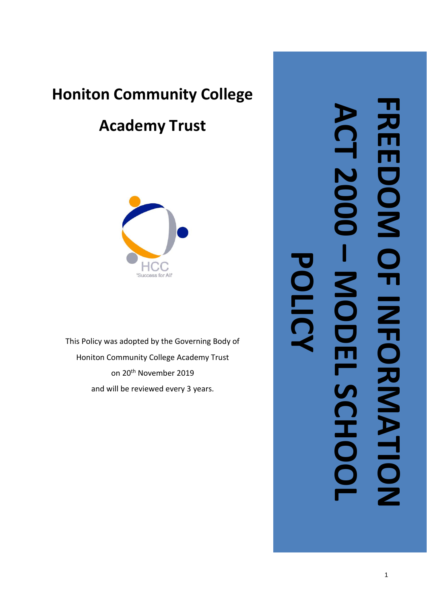# **Honiton Community College**

# **Academy Trust**



This Policy was adopted by the Governing Body of Honiton Community College Academy Trust on 20th November 2019 and will be reviewed every 3 years .

**FREEDOM OF INFORMATION ACT 2000**   $\Omega$ **T2000 – POLICY**MODEL SCHOO **MODEL SCHOOL**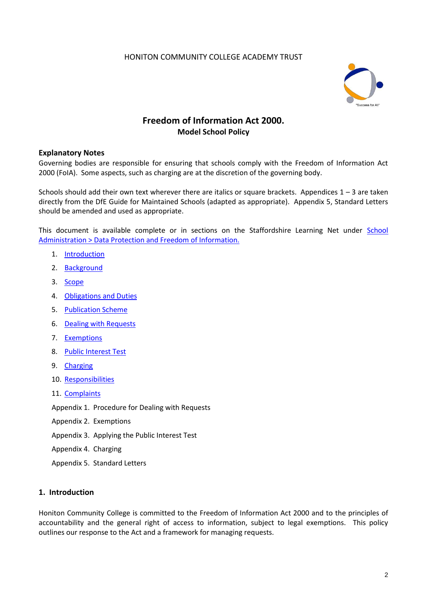# HONITON COMMUNITY COLLEGE ACADEMY TRUST



# **Freedom of Information Act 2000. Model School Policy**

# **Explanatory Notes**

Governing bodies are responsible for ensuring that schools comply with the Freedom of Information Act 2000 (FoIA). Some aspects, such as charging are at the discretion of the governing body.

Schools should add their own text wherever there are italics or square brackets. Appendices  $1 - 3$  are taken directly from the DfE Guide for Maintained Schools (adapted as appropriate). Appendix 5, Standard Letters should be amended and used as appropriate.

This document is available complete or in sections on the Staffordshire Learning Net under School [Administration > Data Protection and Freedom of Information.](http://education.staffordshire.gov.uk/SchoolAdministration/DataProtectionFreedomInformation)

- 1. [Introduction](#page-1-0)
- 2. [Background](#page-2-0)
- 3. [Scope](#page-2-1)
- 4. [Obligations and Duties](#page-2-2)
- 5. [Publication Scheme](#page-3-0)
- 6. [Dealing with Requests](#page-3-1)
- 7. [Exemptions](#page-3-2)
- 8. [Public Interest Test](#page-3-3)
- 9. [Charging](#page-3-4)
- 10. [Responsibilities](#page-4-0)
- 11. [Complaints](#page-4-1)

Appendix 1. Procedure for Dealing with Requests

- Appendix 2. Exemptions
- Appendix 3. Applying the Public Interest Test
- Appendix 4. Charging
- <span id="page-1-0"></span>Appendix 5. Standard Letters

# **1. Introduction**

Honiton Community College is committed to the Freedom of Information Act 2000 and to the principles of accountability and the general right of access to information, subject to legal exemptions. This policy outlines our response to the Act and a framework for managing requests.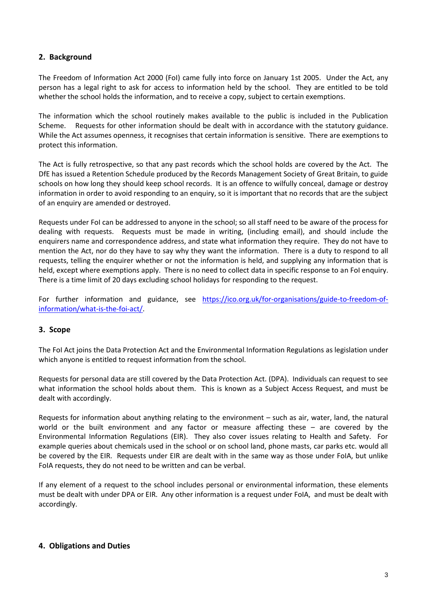# <span id="page-2-0"></span>**2. Background**

The Freedom of Information Act 2000 (FoI) came fully into force on January 1st 2005. Under the Act, any person has a legal right to ask for access to information held by the school. They are entitled to be told whether the school holds the information, and to receive a copy, subject to certain exemptions.

The information which the school routinely makes available to the public is included in the Publication Scheme. Requests for other information should be dealt with in accordance with the statutory guidance. While the Act assumes openness, it recognises that certain information is sensitive. There are exemptions to protect this information.

The Act is fully retrospective, so that any past records which the school holds are covered by the Act. The DfE has issued a Retention Schedule produced by the Records Management Society of Great Britain, to guide schools on how long they should keep school records. It is an offence to wilfully conceal, damage or destroy information in order to avoid responding to an enquiry, so it is important that no records that are the subject of an enquiry are amended or destroyed.

Requests under FoI can be addressed to anyone in the school; so all staff need to be aware of the process for dealing with requests. Requests must be made in writing, (including email), and should include the enquirers name and correspondence address, and state what information they require. They do not have to mention the Act, nor do they have to say why they want the information. There is a duty to respond to all requests, telling the enquirer whether or not the information is held, and supplying any information that is held, except where exemptions apply. There is no need to collect data in specific response to an FoI enquiry. There is a time limit of 20 days excluding school holidays for responding to the request.

For further information and guidance, see [https://ico.org.uk/for-organisations/guide-to-freedom-of](https://ico.org.uk/for-organisations/guide-to-freedom-of-information/what-is-the-foi-act/)[information/what-is-the-foi-act/.](https://ico.org.uk/for-organisations/guide-to-freedom-of-information/what-is-the-foi-act/)

# <span id="page-2-1"></span>**3. Scope**

The FoI Act joins the Data Protection Act and the Environmental Information Regulations as legislation under which anyone is entitled to request information from the school.

Requests for personal data are still covered by the Data Protection Act. (DPA). Individuals can request to see what information the school holds about them. This is known as a Subject Access Request, and must be dealt with accordingly.

Requests for information about anything relating to the environment – such as air, water, land, the natural world or the built environment and any factor or measure affecting these – are covered by the Environmental Information Regulations (EIR). They also cover issues relating to Health and Safety. For example queries about chemicals used in the school or on school land, phone masts, car parks etc. would all be covered by the EIR. Requests under EIR are dealt with in the same way as those under FoIA, but unlike FoIA requests, they do not need to be written and can be verbal.

If any element of a request to the school includes personal or environmental information, these elements must be dealt with under DPA or EIR. Any other information is a request under FoIA, and must be dealt with accordingly.

# <span id="page-2-2"></span>**4. Obligations and Duties**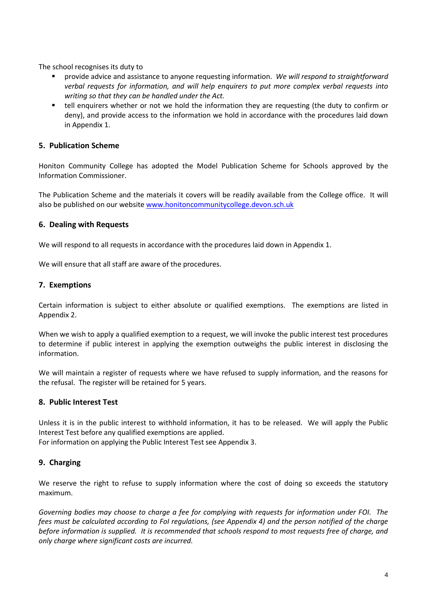The school recognises its duty to

- provide advice and assistance to anyone requesting information. *We will respond to straightforward verbal requests for information, and will help enquirers to put more complex verbal requests into writing so that they can be handled under the Act.*
- tell enquirers whether or not we hold the information they are requesting (the duty to confirm or deny), and provide access to the information we hold in accordance with the procedures laid down in Appendix 1.

# <span id="page-3-0"></span>**5. Publication Scheme**

Honiton Community College has adopted the Model Publication Scheme for Schools approved by the Information Commissioner.

The Publication Scheme and the materials it covers will be readily available from the College office. It will also be published on our website [www.honitoncommunitycollege.devon.sch.uk](http://www.honitoncommunitycollege.devon.sch.uk/)

# <span id="page-3-1"></span>**6. Dealing with Requests**

We will respond to all requests in accordance with the procedures laid down in Appendix 1.

We will ensure that all staff are aware of the procedures.

# <span id="page-3-2"></span>**7. Exemptions**

Certain information is subject to either absolute or qualified exemptions. The exemptions are listed in Appendix 2.

When we wish to apply a qualified exemption to a request, we will invoke the public interest test procedures to determine if public interest in applying the exemption outweighs the public interest in disclosing the information.

We will maintain a register of requests where we have refused to supply information, and the reasons for the refusal. The register will be retained for 5 years.

# <span id="page-3-3"></span>**8. Public Interest Test**

Unless it is in the public interest to withhold information, it has to be released. We will apply the Public Interest Test before any qualified exemptions are applied. For information on applying the Public Interest Test see Appendix 3.

# <span id="page-3-4"></span>**9. Charging**

We reserve the right to refuse to supply information where the cost of doing so exceeds the statutory maximum.

*Governing bodies may choose to charge a fee for complying with requests for information under FOI. The fees must be calculated according to FoI regulations, (see Appendix 4) and the person notified of the charge before information is supplied. It is recommended that schools respond to most requests free of charge, and only charge where significant costs are incurred.*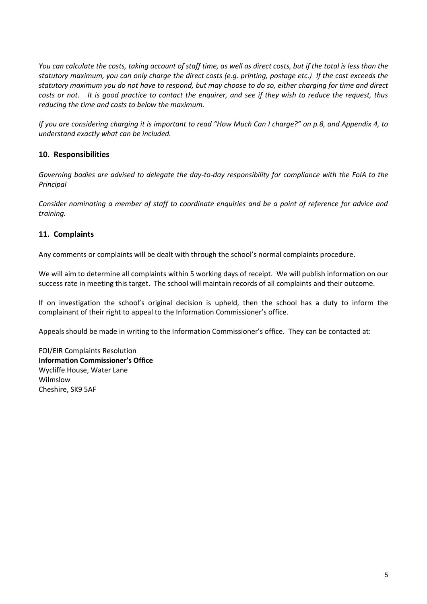*You can calculate the costs, taking account of staff time, as well as direct costs, but if the total is less than the statutory maximum, you can only charge the direct costs (e.g. printing, postage etc.) If the cost exceeds the statutory maximum you do not have to respond, but may choose to do so, either charging for time and direct costs or not. It is good practice to contact the enquirer, and see if they wish to reduce the request, thus reducing the time and costs to below the maximum.*

*If you are considering charging it is important to read "How Much Can I charge?" on p.8, and Appendix 4, to understand exactly what can be included.*

# <span id="page-4-0"></span>**10. Responsibilities**

*Governing bodies are advised to delegate the day-to-day responsibility for compliance with the FoIA to the Principal*

*Consider nominating a member of staff to coordinate enquiries and be a point of reference for advice and training.*

# <span id="page-4-1"></span>**11. Complaints**

Any comments or complaints will be dealt with through the school's normal complaints procedure.

We will aim to determine all complaints within 5 working days of receipt.We will publish information on our success rate in meeting this target. The school will maintain records of all complaints and their outcome.

If on investigation the school's original decision is upheld, then the school has a duty to inform the complainant of their right to appeal to the Information Commissioner's office.

Appeals should be made in writing to the Information Commissioner's office. They can be contacted at:

FOI/EIR Complaints Resolution **Information Commissioner's Office** Wycliffe House, Water Lane Wilmslow Cheshire, SK9 5AF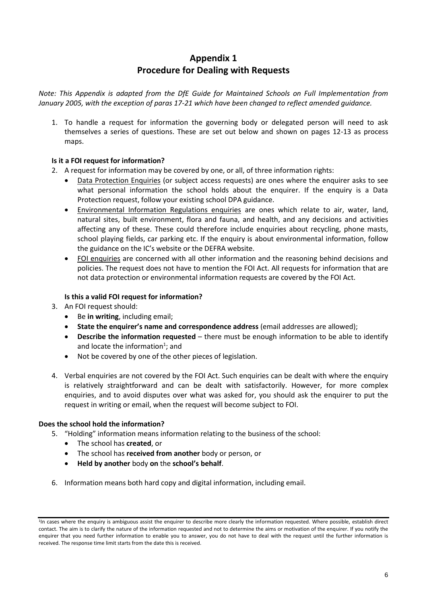# **Appendix 1 Procedure for Dealing with Requests**

*Note: This Appendix is adapted from the DfE Guide for Maintained Schools on Full Implementation from January 2005, with the exception of paras 17-21 which have been changed to reflect amended guidance.*

1. To handle a request for information the governing body or delegated person will need to ask themselves a series of questions. These are set out below and shown on pages 12-13 as process maps.

# **Is it a FOI request for information?**

- 2. A request for information may be covered by one, or all, of three information rights:
	- Data Protection Enquiries (or subject access requests) are ones where the enquirer asks to see what personal information the school holds about the enquirer. If the enquiry is a Data Protection request, follow your existing school DPA guidance.
	- Environmental Information Regulations enquiries are ones which relate to air, water, land, natural sites, built environment, flora and fauna, and health, and any decisions and activities affecting any of these. These could therefore include enquiries about recycling, phone masts, school playing fields, car parking etc. If the enquiry is about environmental information, follow the guidance on the IC's website or the DEFRA website.
	- FOI enquiries are concerned with all other information and the reasoning behind decisions and policies. The request does not have to mention the FOI Act. All requests for information that are not data protection or environmental information requests are covered by the FOI Act.

# **Is this a valid FOI request for information?**

- 3. An FOI request should:
	- Be **in writing**, including email;
	- **State the enquirer's name and correspondence address** (email addresses are allowed);
	- **Describe the information requested** there must be enough information to be able to identify and locate the information<sup>1</sup>; and
	- Not be covered by one of the other pieces of legislation.
- 4. Verbal enquiries are not covered by the FOI Act. Such enquiries can be dealt with where the enquiry is relatively straightforward and can be dealt with satisfactorily. However, for more complex enquiries, and to avoid disputes over what was asked for, you should ask the enquirer to put the request in writing or email, when the request will become subject to FOI.

# **Does the school hold the information?**

- 5. "Holding" information means information relating to the business of the school:
	- The school has **created**, or
	- The school has **received from another** body or person, or
	- **Held by another** body **on** the **school's behalf**.
- 6. Information means both hard copy and digital information, including email.

<sup>&</sup>lt;sup>1</sup>In cases where the enquiry is ambiguous assist the enquirer to describe more clearly the information requested. Where possible, establish direct contact. The aim is to clarify the nature of the information requested and not to determine the aims or motivation of the enquirer. If you notify the enquirer that you need further information to enable you to answer, you do not have to deal with the request until the further information is received. The response time limit starts from the date this is received.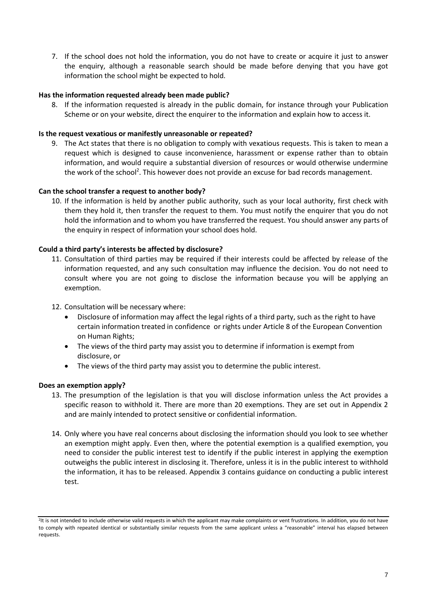7. If the school does not hold the information, you do not have to create or acquire it just to answer the enquiry, although a reasonable search should be made before denying that you have got information the school might be expected to hold.

#### **Has the information requested already been made public?**

8. If the information requested is already in the public domain, for instance through your Publication Scheme or on your website, direct the enquirer to the information and explain how to access it.

#### **Is the request vexatious or manifestly unreasonable or repeated?**

9. The Act states that there is no obligation to comply with vexatious requests. This is taken to mean a request which is designed to cause inconvenience, harassment or expense rather than to obtain information, and would require a substantial diversion of resources or would otherwise undermine the work of the school<sup>2</sup>. This however does not provide an excuse for bad records management.

#### **Can the school transfer a request to another body?**

10. If the information is held by another public authority, such as your local authority, first check with them they hold it, then transfer the request to them. You must notify the enquirer that you do not hold the information and to whom you have transferred the request. You should answer any parts of the enquiry in respect of information your school does hold.

#### **Could a third party's interests be affected by disclosure?**

- 11. Consultation of third parties may be required if their interests could be affected by release of the information requested, and any such consultation may influence the decision. You do not need to consult where you are not going to disclose the information because you will be applying an exemption.
- 12. Consultation will be necessary where:
	- Disclosure of information may affect the legal rights of a third party, such as the right to have certain information treated in confidence or rights under Article 8 of the European Convention on Human Rights;
	- The views of the third party may assist you to determine if information is exempt from disclosure, or
	- The views of the third party may assist you to determine the public interest.

#### **Does an exemption apply?**

- 13. The presumption of the legislation is that you will disclose information unless the Act provides a specific reason to withhold it. There are more than 20 exemptions. They are set out in Appendix 2 and are mainly intended to protect sensitive or confidential information.
- 14. Only where you have real concerns about disclosing the information should you look to see whether an exemption might apply. Even then, where the potential exemption is a qualified exemption, you need to consider the public interest test to identify if the public interest in applying the exemption outweighs the public interest in disclosing it. Therefore, unless it is in the public interest to withhold the information, it has to be released. Appendix 3 contains guidance on conducting a public interest test.

<sup>2</sup> It is not intended to include otherwise valid requests in which the applicant may make complaints or vent frustrations. In addition, you do not have to comply with repeated identical or substantially similar requests from the same applicant unless a "reasonable" interval has elapsed between requests.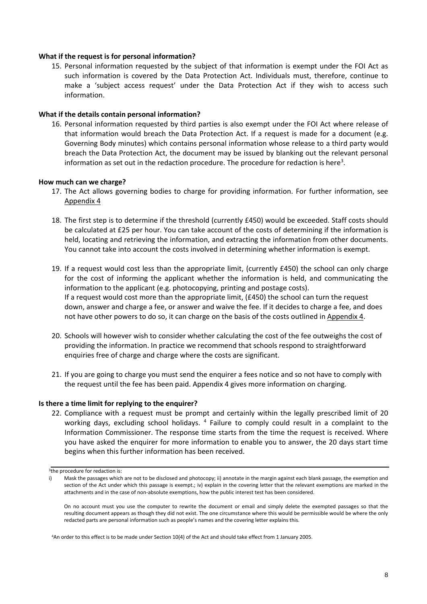#### **What if the request is for personal information?**

15. Personal information requested by the subject of that information is exempt under the FOI Act as such information is covered by the Data Protection Act. Individuals must, therefore, continue to make a 'subject access request' under the Data Protection Act if they wish to access such information.

#### **What if the details contain personal information?**

16. Personal information requested by third parties is also exempt under the FOI Act where release of that information would breach the Data Protection Act. If a request is made for a document (e.g. Governing Body minutes) which contains personal information whose release to a third party would breach the Data Protection Act, the document may be issued by blanking out the relevant personal information as set out in the redaction procedure. The procedure for redaction is here<sup>3</sup>.

#### **How much can we charge?**

- 17. The Act allows governing bodies to charge for providing information. For further information, see Appendix 4
- 18. The first step is to determine if the threshold (currently £450) would be exceeded. Staff costs should be calculated at £25 per hour. You can take account of the costs of determining if the information is held, locating and retrieving the information, and extracting the information from other documents. You cannot take into account the costs involved in determining whether information is exempt.
- 19. If a request would cost less than the appropriate limit, (currently £450) the school can only charge for the cost of informing the applicant whether the information is held, and communicating the information to the applicant (e.g. photocopying, printing and postage costs). If a request would cost more than the appropriate limit, (£450) the school can turn the request down, answer and charge a fee, or answer and waive the fee. If it decides to charge a fee, and does not have other powers to do so, it can charge on the basis of the costs outlined in Appendix 4.
- 20. Schools will however wish to consider whether calculating the cost of the fee outweighs the cost of providing the information. In practice we recommend that schools respond to straightforward enquiries free of charge and charge where the costs are significant.
- 21. If you are going to charge you must send the enquirer a fees notice and so not have to comply with the request until the fee has been paid. Appendix 4 gives more information on charging.

#### **Is there a time limit for replying to the enquirer?**

22. Compliance with a request must be prompt and certainly within the legally prescribed limit of 20 working days, excluding school holidays. <sup>4</sup> Failure to comply could result in a complaint to the Information Commissioner. The response time starts from the time the request is received. Where you have asked the enquirer for more information to enable you to answer, the 20 days start time begins when this further information has been received.

<sup>3</sup> the procedure for redaction is:

i) Mask the passages which are not to be disclosed and photocopy; ii) annotate in the margin against each blank passage, the exemption and section of the Act under which this passage is exempt.; iv) explain in the covering letter that the relevant exemptions are marked in the attachments and in the case of non-absolute exemptions, how the public interest test has been considered.

On no account must you use the computer to rewrite the document or email and simply delete the exempted passages so that the resulting document appears as though they did not exist. The one circumstance where this would be permissible would be where the only redacted parts are personal information such as people's names and the covering letter explains this.

<sup>4</sup>An order to this effect is to be made under Section 10(4) of the Act and should take effect from 1 January 2005.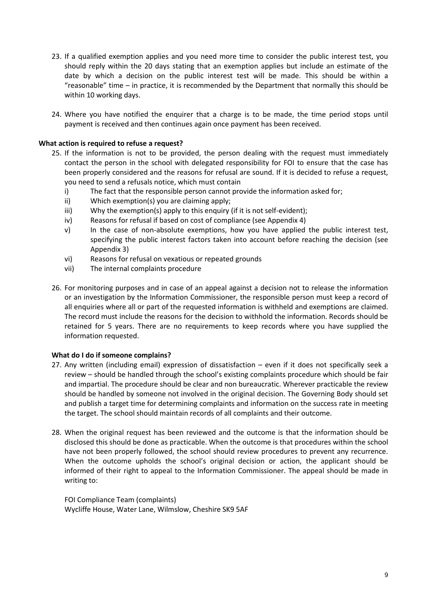- 23. If a qualified exemption applies and you need more time to consider the public interest test, you should reply within the 20 days stating that an exemption applies but include an estimate of the date by which a decision on the public interest test will be made. This should be within a "reasonable" time – in practice, it is recommended by the Department that normally this should be within 10 working days.
- 24. Where you have notified the enquirer that a charge is to be made, the time period stops until payment is received and then continues again once payment has been received.

#### **What action is required to refuse a request?**

- 25. If the information is not to be provided, the person dealing with the request must immediately contact the person in the school with delegated responsibility for FOI to ensure that the case has been properly considered and the reasons for refusal are sound. If it is decided to refuse a request, you need to send a refusals notice, which must contain
	- i) The fact that the responsible person cannot provide the information asked for;
	- ii) Which exemption(s) you are claiming apply;
	- iii) Why the exemption(s) apply to this enquiry (if it is not self-evident);
	- iv) Reasons for refusal if based on cost of compliance (see Appendix 4)
	- v) In the case of non-absolute exemptions, how you have applied the public interest test, specifying the public interest factors taken into account before reaching the decision (see Appendix 3)
	- vi) Reasons for refusal on vexatious or repeated grounds
	- vii) The internal complaints procedure
- 26. For monitoring purposes and in case of an appeal against a decision not to release the information or an investigation by the Information Commissioner, the responsible person must keep a record of all enquiries where all or part of the requested information is withheld and exemptions are claimed. The record must include the reasons for the decision to withhold the information. Records should be retained for 5 years. There are no requirements to keep records where you have supplied the information requested.

#### **What do I do if someone complains?**

- 27. Any written (including email) expression of dissatisfaction even if it does not specifically seek a review – should be handled through the school's existing complaints procedure which should be fair and impartial. The procedure should be clear and non bureaucratic. Wherever practicable the review should be handled by someone not involved in the original decision. The Governing Body should set and publish a target time for determining complaints and information on the success rate in meeting the target. The school should maintain records of all complaints and their outcome.
- 28. When the original request has been reviewed and the outcome is that the information should be disclosed this should be done as practicable. When the outcome is that procedures within the school have not been properly followed, the school should review procedures to prevent any recurrence. When the outcome upholds the school's original decision or action, the applicant should be informed of their right to appeal to the Information Commissioner. The appeal should be made in writing to:

FOI Compliance Team (complaints) Wycliffe House, Water Lane, Wilmslow, Cheshire SK9 5AF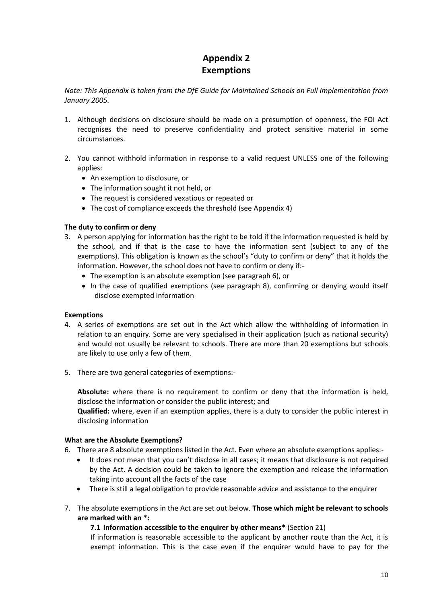# **Appendix 2 Exemptions**

*Note: This Appendix is taken from the DfE Guide for Maintained Schools on Full Implementation from January 2005.* 

- 1. Although decisions on disclosure should be made on a presumption of openness, the FOI Act recognises the need to preserve confidentiality and protect sensitive material in some circumstances.
- 2. You cannot withhold information in response to a valid request UNLESS one of the following applies:
	- An exemption to disclosure, or
	- The information sought it not held, or
	- The request is considered vexatious or repeated or
	- The cost of compliance exceeds the threshold (see Appendix 4)

# **The duty to confirm or deny**

- 3. A person applying for information has the right to be told if the information requested is held by the school, and if that is the case to have the information sent (subject to any of the exemptions). This obligation is known as the school's "duty to confirm or deny" that it holds the information. However, the school does not have to confirm or deny if:-
	- The exemption is an absolute exemption (see paragraph 6), or
	- In the case of qualified exemptions (see paragraph 8), confirming or denying would itself disclose exempted information

# **Exemptions**

- 4. A series of exemptions are set out in the Act which allow the withholding of information in relation to an enquiry. Some are very specialised in their application (such as national security) and would not usually be relevant to schools. There are more than 20 exemptions but schools are likely to use only a few of them.
- 5. There are two general categories of exemptions:-

**Absolute:** where there is no requirement to confirm or deny that the information is held, disclose the information or consider the public interest; and

**Qualified:** where, even if an exemption applies, there is a duty to consider the public interest in disclosing information

#### **What are the Absolute Exemptions?**

- 6. There are 8 absolute exemptions listed in the Act. Even where an absolute exemptions applies:-
	- It does not mean that you can't disclose in all cases; it means that disclosure is not required by the Act. A decision could be taken to ignore the exemption and release the information taking into account all the facts of the case
	- There is still a legal obligation to provide reasonable advice and assistance to the enquirer
- 7. The absolute exemptions in the Act are set out below. **Those which might be relevant to schools are marked with an \*:**

# **7.1 Information accessible to the enquirer by other means\*** (Section 21)

If information is reasonable accessible to the applicant by another route than the Act, it is exempt information. This is the case even if the enquirer would have to pay for the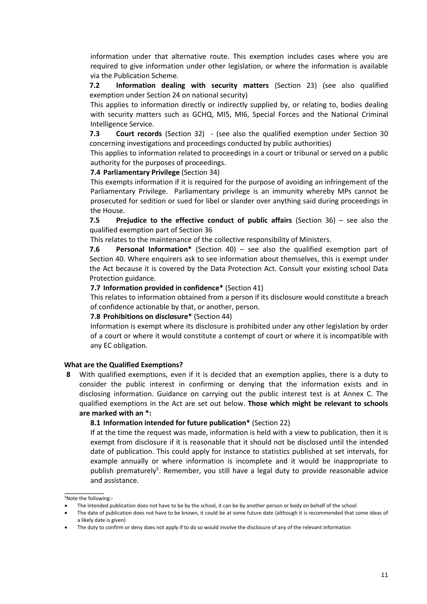information under that alternative route. This exemption includes cases where you are required to give information under other legislation, or where the information is available via the Publication Scheme.

**7.2 Information dealing with security matters** (Section 23) (see also qualified exemption under Section 24 on national security)

This applies to information directly or indirectly supplied by, or relating to, bodies dealing with security matters such as GCHQ, MI5, MI6, Special Forces and the National Criminal Intelligence Service.

**7.3 Court records** (Section 32) - (see also the qualified exemption under Section 30 concerning investigations and proceedings conducted by public authorities)

This applies to information related to proceedings in a court or tribunal or served on a public authority for the purposes of proceedings.

#### **7.4 Parliamentary Privilege** (Section 34)

This exempts information if it is required for the purpose of avoiding an infringement of the Parliamentary Privilege. Parliamentary privilege is an immunity whereby MPs cannot be prosecuted for sedition or sued for libel or slander over anything said during proceedings in the House.

**7.5 Prejudice to the effective conduct of public affairs** (Section 36) – see also the qualified exemption part of Section 36

This relates to the maintenance of the collective responsibility of Ministers.

**7.6 Personal Information\*** (Section 40) – see also the qualified exemption part of Section 40. Where enquirers ask to see information about themselves, this is exempt under the Act because it is covered by the Data Protection Act. Consult your existing school Data Protection guidance.

#### **7.7 Information provided in confidence\*** (Section 41)

This relates to information obtained from a person if its disclosure would constitute a breach of confidence actionable by that, or another, person.

#### **7.8 Prohibitions on disclosure\*** (Section 44)

Information is exempt where its disclosure is prohibited under any other legislation by order of a court or where it would constitute a contempt of court or where it is incompatible with any EC obligation.

#### **What are the Qualified Exemptions?**

**8** With qualified exemptions, even if it is decided that an exemption applies, there is a duty to consider the public interest in confirming or denying that the information exists and in disclosing information. Guidance on carrying out the public interest test is at Annex C. The qualified exemptions in the Act are set out below. **Those which might be relevant to schools are marked with an \*:**

#### **8.1 Information intended for future publication\*** (Section 22)

If at the time the request was made, information is held with a view to publication, then it is exempt from disclosure if it is reasonable that it should not be disclosed until the intended date of publication. This could apply for instance to statistics published at set intervals, for example annually or where information is incomplete and it would be inappropriate to publish prematurely<sup>5</sup>. Remember, you still have a legal duty to provide reasonable advice and assistance.

\_\_\_\_\_\_\_\_\_\_ <sup>5</sup>Note the following:-

<sup>•</sup> The intended publication does not have to be by the school, it can be by another person or body on behalf of the school

The date of publication does not have to be known, it could be at some future date (although it is recommended that some ideas of a likely date is given)

<sup>•</sup> The duty to confirm or deny does not apply if to do so would involve the disclosure of any of the relevant information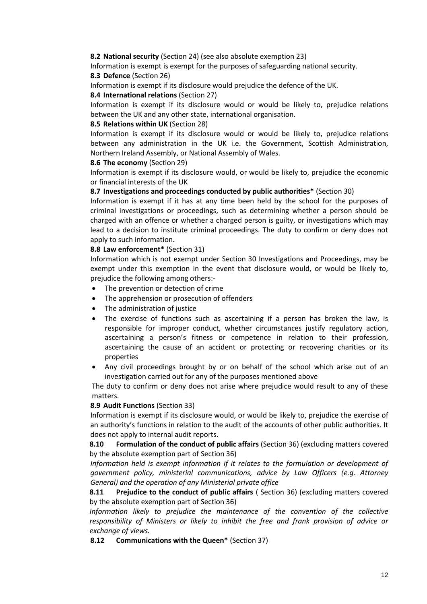#### **8.2 National security** (Section 24) (see also absolute exemption 23)

Information is exempt is exempt for the purposes of safeguarding national security. **8.3 Defence** (Section 26)

Information is exempt if its disclosure would prejudice the defence of the UK.

#### **8.4 International relations** (Section 27)

Information is exempt if its disclosure would or would be likely to, prejudice relations between the UK and any other state, international organisation.

#### **8.5 Relations within UK** (Section 28)

Information is exempt if its disclosure would or would be likely to, prejudice relations between any administration in the UK i.e. the Government, Scottish Administration, Northern Ireland Assembly, or National Assembly of Wales.

#### **8.6 The economy** (Section 29)

Information is exempt if its disclosure would, or would be likely to, prejudice the economic or financial interests of the UK

# **8.7 Investigations and proceedings conducted by public authorities\*** (Section 30)

Information is exempt if it has at any time been held by the school for the purposes of criminal investigations or proceedings, such as determining whether a person should be charged with an offence or whether a charged person is guilty, or investigations which may lead to a decision to institute criminal proceedings. The duty to confirm or deny does not apply to such information.

#### **8.8 Law enforcement\*** (Section 31)

Information which is not exempt under Section 30 Investigations and Proceedings, may be exempt under this exemption in the event that disclosure would, or would be likely to, prejudice the following among others:-

- The prevention or detection of crime
- The apprehension or prosecution of offenders
- The administration of justice
- The exercise of functions such as ascertaining if a person has broken the law, is responsible for improper conduct, whether circumstances justify regulatory action, ascertaining a person's fitness or competence in relation to their profession, ascertaining the cause of an accident or protecting or recovering charities or its properties
- Any civil proceedings brought by or on behalf of the school which arise out of an investigation carried out for any of the purposes mentioned above

The duty to confirm or deny does not arise where prejudice would result to any of these matters.

# **8.9 Audit Functions** (Section 33)

Information is exempt if its disclosure would, or would be likely to, prejudice the exercise of an authority's functions in relation to the audit of the accounts of other public authorities. It does not apply to internal audit reports.

**8.10 Formulation of the conduct of public affairs** (Section 36) (excluding matters covered by the absolute exemption part of Section 36)

*Information held is exempt information if it relates to the formulation or development of government policy, ministerial communications, advice by Law Officers (e.g. Attorney General) and the operation of any Ministerial private office*

**8.11 Prejudice to the conduct of public affairs** ( Section 36) (excluding matters covered by the absolute exemption part of Section 36)

Information likely to prejudice the maintenance of the convention of the collective *responsibility of Ministers or likely to inhibit the free and frank provision of advice or exchange of views.*

**8.12 Communications with the Queen\*** (Section 37)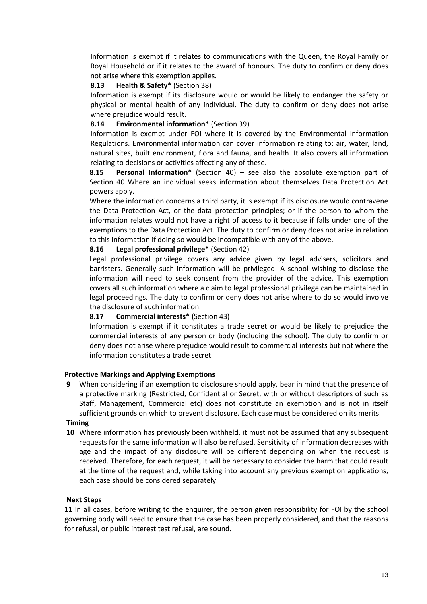Information is exempt if it relates to communications with the Queen, the Royal Family or Royal Household or if it relates to the award of honours. The duty to confirm or deny does not arise where this exemption applies.

#### **8.13 Health & Safety\*** (Section 38)

Information is exempt if its disclosure would or would be likely to endanger the safety or physical or mental health of any individual. The duty to confirm or deny does not arise where prejudice would result.

#### **8.14 Environmental information\*** (Section 39)

Information is exempt under FOI where it is covered by the Environmental Information Regulations. Environmental information can cover information relating to: air, water, land, natural sites, built environment, flora and fauna, and health. It also covers all information relating to decisions or activities affecting any of these.

**8.15 Personal Information\*** (Section 40) – see also the absolute exemption part of Section 40 Where an individual seeks information about themselves Data Protection Act powers apply.

Where the information concerns a third party, it is exempt if its disclosure would contravene the Data Protection Act, or the data protection principles; or if the person to whom the information relates would not have a right of access to it because if falls under one of the exemptions to the Data Protection Act. The duty to confirm or deny does not arise in relation to this information if doing so would be incompatible with any of the above.

#### **8.16 Legal professional privilege\*** (Section 42)

Legal professional privilege covers any advice given by legal advisers, solicitors and barristers. Generally such information will be privileged. A school wishing to disclose the information will need to seek consent from the provider of the advice. This exemption covers all such information where a claim to legal professional privilege can be maintained in legal proceedings. The duty to confirm or deny does not arise where to do so would involve the disclosure of such information.

# **8.17 Commercial interests\*** (Section 43)

Information is exempt if it constitutes a trade secret or would be likely to prejudice the commercial interests of any person or body (including the school). The duty to confirm or deny does not arise where prejudice would result to commercial interests but not where the information constitutes a trade secret.

#### **Protective Markings and Applying Exemptions**

**9** When considering if an exemption to disclosure should apply, bear in mind that the presence of a protective marking (Restricted, Confidential or Secret, with or without descriptors of such as Staff, Management, Commercial etc) does not constitute an exemption and is not in itself sufficient grounds on which to prevent disclosure. Each case must be considered on its merits.

# **Timing**

**10** Where information has previously been withheld, it must not be assumed that any subsequent requests for the same information will also be refused. Sensitivity of information decreases with age and the impact of any disclosure will be different depending on when the request is received. Therefore, for each request, it will be necessary to consider the harm that could result at the time of the request and, while taking into account any previous exemption applications, each case should be considered separately.

#### **Next Steps**

**11** In all cases, before writing to the enquirer, the person given responsibility for FOI by the school governing body will need to ensure that the case has been properly considered, and that the reasons for refusal, or public interest test refusal, are sound.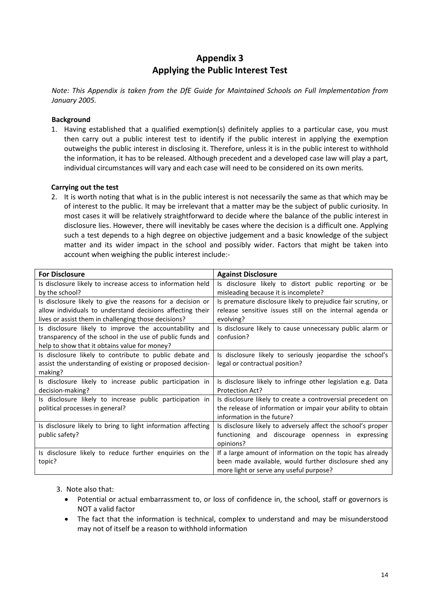# **Appendix 3 Applying the Public Interest Test**

*Note: This Appendix is taken from the DfE Guide for Maintained Schools on Full Implementation from January 2005.* 

#### **Background**

1. Having established that a qualified exemption(s) definitely applies to a particular case, you must then carry out a public interest test to identify if the public interest in applying the exemption outweighs the public interest in disclosing it. Therefore, unless it is in the public interest to withhold the information, it has to be released. Although precedent and a developed case law will play a part, individual circumstances will vary and each case will need to be considered on its own merits.

#### **Carrying out the test**

2. It is worth noting that what is in the public interest is not necessarily the same as that which may be of interest to the public. It may be irrelevant that a matter may be the subject of public curiosity. In most cases it will be relatively straightforward to decide where the balance of the public interest in disclosure lies. However, there will inevitably be cases where the decision is a difficult one. Applying such a test depends to a high degree on objective judgement and a basic knowledge of the subject matter and its wider impact in the school and possibly wider. Factors that might be taken into account when weighing the public interest include:-

| <b>For Disclosure</b>                                        | <b>Against Disclosure</b>                                     |
|--------------------------------------------------------------|---------------------------------------------------------------|
| Is disclosure likely to increase access to information held  | Is disclosure likely to distort public reporting or be        |
| by the school?                                               | misleading because it is incomplete?                          |
| Is disclosure likely to give the reasons for a decision or   | Is premature disclosure likely to prejudice fair scrutiny, or |
| allow individuals to understand decisions affecting their    | release sensitive issues still on the internal agenda or      |
| lives or assist them in challenging those decisions?         | evolving?                                                     |
| Is disclosure likely to improve the accountability and       | Is disclosure likely to cause unnecessary public alarm or     |
| transparency of the school in the use of public funds and    | confusion?                                                    |
| help to show that it obtains value for money?                |                                                               |
| Is disclosure likely to contribute to public debate and      | Is disclosure likely to seriously jeopardise the school's     |
| assist the understanding of existing or proposed decision-   | legal or contractual position?                                |
| making?                                                      |                                                               |
| Is disclosure likely to increase public participation in     | Is disclosure likely to infringe other legislation e.g. Data  |
| decision-making?                                             | Protection Act?                                               |
| Is disclosure likely to increase public participation in     | Is disclosure likely to create a controversial precedent on   |
| political processes in general?                              | the release of information or impair your ability to obtain   |
|                                                              | information in the future?                                    |
| Is disclosure likely to bring to light information affecting | Is disclosure likely to adversely affect the school's proper  |
| public safety?                                               | functioning and discourage openness in expressing             |
|                                                              | opinions?                                                     |
| Is disclosure likely to reduce further enquiries on the      | If a large amount of information on the topic has already     |
| topic?                                                       | been made available, would further disclosure shed any        |
|                                                              | more light or serve any useful purpose?                       |

#### 3. Note also that:

- Potential or actual embarrassment to, or loss of confidence in, the school, staff or governors is NOT a valid factor
- The fact that the information is technical, complex to understand and may be misunderstood may not of itself be a reason to withhold information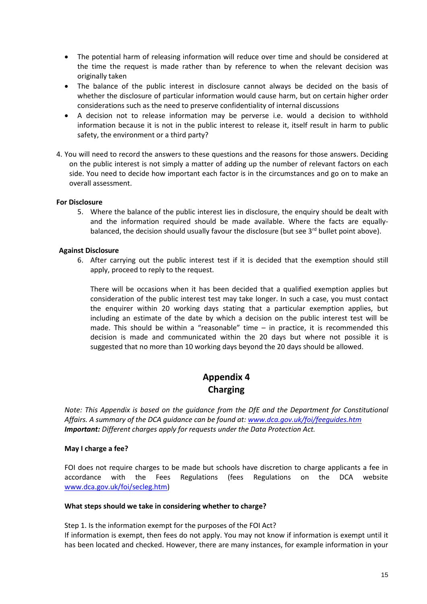- The potential harm of releasing information will reduce over time and should be considered at the time the request is made rather than by reference to when the relevant decision was originally taken
- The balance of the public interest in disclosure cannot always be decided on the basis of whether the disclosure of particular information would cause harm, but on certain higher order considerations such as the need to preserve confidentiality of internal discussions
- A decision not to release information may be perverse i.e. would a decision to withhold information because it is not in the public interest to release it, itself result in harm to public safety, the environment or a third party?
- 4. You will need to record the answers to these questions and the reasons for those answers. Deciding on the public interest is not simply a matter of adding up the number of relevant factors on each side. You need to decide how important each factor is in the circumstances and go on to make an overall assessment.

#### **For Disclosure**

5. Where the balance of the public interest lies in disclosure, the enquiry should be dealt with and the information required should be made available. Where the facts are equallybalanced, the decision should usually favour the disclosure (but see 3<sup>rd</sup> bullet point above).

#### **Against Disclosure**

6. After carrying out the public interest test if it is decided that the exemption should still apply, proceed to reply to the request.

There will be occasions when it has been decided that a qualified exemption applies but consideration of the public interest test may take longer. In such a case, you must contact the enquirer within 20 working days stating that a particular exemption applies, but including an estimate of the date by which a decision on the public interest test will be made. This should be within a "reasonable" time  $-$  in practice, it is recommended this decision is made and communicated within the 20 days but where not possible it is suggested that no more than 10 working days beyond the 20 days should be allowed.

# **Appendix 4 Charging**

*Note: This Appendix is based on the guidance from the DfE and the Department for Constitutional Affairs. A summary of the DCA guidance can be found at[: www.dca.gov.uk/foi/feeguides.htm](http://www.dca.gov.uk/foi/feeguides.htm) Important: Different charges apply for requests under the Data Protection Act.*

#### **May I charge a fee?**

FOI does not require charges to be made but schools have discretion to charge applicants a fee in accordance with the Fees Regulations (fees Regulations on the DCA website [www.dca.gov.uk/foi/secleg.htm\)](http://www.dca.gov.uk/foi/secleg.htm)

#### **What steps should we take in considering whether to charge?**

Step 1. Is the information exempt for the purposes of the FOI Act? If information is exempt, then fees do not apply. You may not know if information is exempt until it has been located and checked. However, there are many instances, for example information in your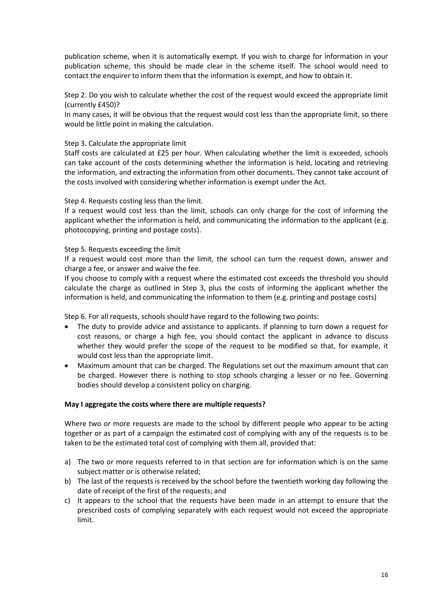publication scheme, when it is automatically exempt. If you wish to charge for information in your publication scheme, this should be made clear in the scheme itself. The school would need to contact the enquirer to inform them that the information is exempt, and how to obtain it.

Step 2. Do you wish to calculate whether the cost of the request would exceed the appropriate limit (currently £450)?

In many cases, it will be obvious that the request would cost less than the appropriate limit, so there would be little point in making the calculation.

#### Step 3. Calculate the appropriate limit

Staff costs are calculated at £25 per hour. When calculating whether the limit is exceeded, schools can take account of the costs determining whether the information is held, locating and retrieving the information, and extracting the information from other documents. They cannot take account of the costs involved with considering whether information is exempt under the Act.

#### Step 4. Requests costing less than the limit.

If a request would cost less than the limit, schools can only charge for the cost of informing the applicant whether the information is held, and communicating the information to the applicant (e.g. photocopying, printing and postage costs).

#### Step 5. Requests exceeding the limit

If a request would cost more than the limit, the school can turn the request down, answer and charge a fee, or answer and waive the fee.

If you choose to comply with a request where the estimated cost exceeds the threshold you should calculate the charge as outlined in Step 3, plus the costs of informing the applicant whether the information is held, and communicating the information to them (e.g. printing and postage costs)

Step 6. For all requests, schools should have regard to the following two points:

- The duty to provide advice and assistance to applicants. If planning to turn down a request for cost reasons, or charge a high fee, you should contact the applicant in advance to discuss whether they would prefer the scope of the request to be modified so that, for example, it would cost less than the appropriate limit.
- Maximum amount that can be charged. The Regulations set out the maximum amount that can be charged. However there is nothing to stop schools charging a lesser or no fee. Governing bodies should develop a consistent policy on charging.

#### **May I aggregate the costs where there are multiple requests?**

Where two or more requests are made to the school by different people who appear to be acting together or as part of a campaign the estimated cost of complying with any of the requests is to be taken to be the estimated total cost of complying with them all, provided that:

- a) The two or more requests referred to in that section are for information which is on the same subject matter or is otherwise related;
- b) The last of the requests is received by the school before the twentieth working day following the date of receipt of the first of the requests; and
- c) It appears to the school that the requests have been made in an attempt to ensure that the prescribed costs of complying separately with each request would not exceed the appropriate limit.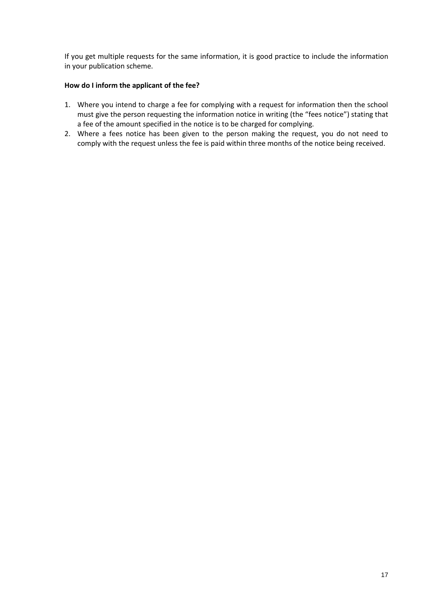If you get multiple requests for the same information, it is good practice to include the information in your publication scheme.

#### **How do I inform the applicant of the fee?**

- 1. Where you intend to charge a fee for complying with a request for information then the school must give the person requesting the information notice in writing (the "fees notice") stating that a fee of the amount specified in the notice is to be charged for complying.
- 2. Where a fees notice has been given to the person making the request, you do not need to comply with the request unless the fee is paid within three months of the notice being received.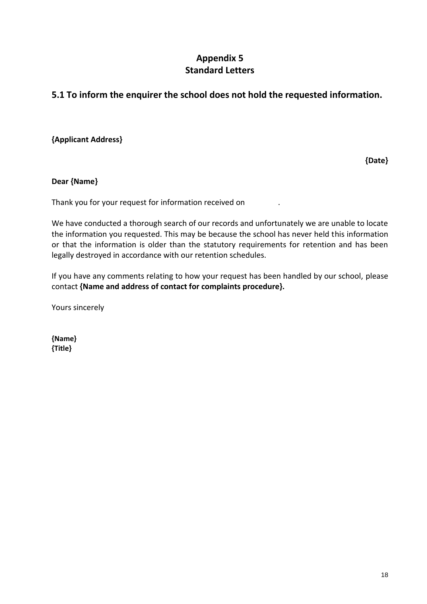# **Appendix 5 Standard Letters**

# **5.1 To inform the enquirer the school does not hold the requested information.**

# **{Applicant Address}**

**{Date}**

# **Dear {Name}**

Thank you for your request for information received on .

We have conducted a thorough search of our records and unfortunately we are unable to locate the information you requested. This may be because the school has never held this information or that the information is older than the statutory requirements for retention and has been legally destroyed in accordance with our retention schedules.

If you have any comments relating to how your request has been handled by our school, please contact **{Name and address of contact for complaints procedure}.**

Yours sincerely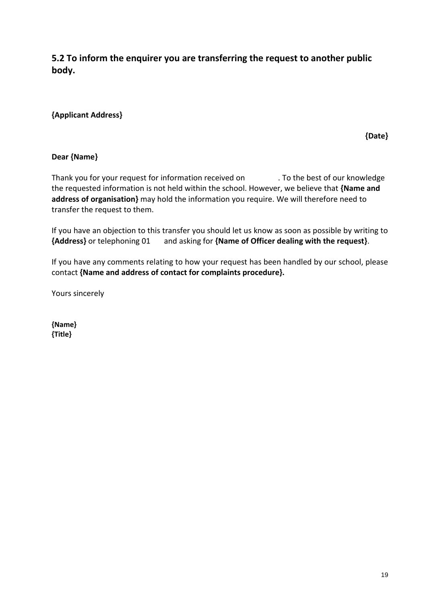**5.2 To inform the enquirer you are transferring the request to another public body.** 

# **{Applicant Address}**

**{Date}**

# **Dear {Name}**

Thank you for your request for information received on . To the best of our knowledge the requested information is not held within the school. However, we believe that **{Name and address of organisation}** may hold the information you require. We will therefore need to transfer the request to them.

If you have an objection to this transfer you should let us know as soon as possible by writing to **{Address}** or telephoning 01 and asking for **{Name of Officer dealing with the request}**.

If you have any comments relating to how your request has been handled by our school, please contact **{Name and address of contact for complaints procedure}.**

Yours sincerely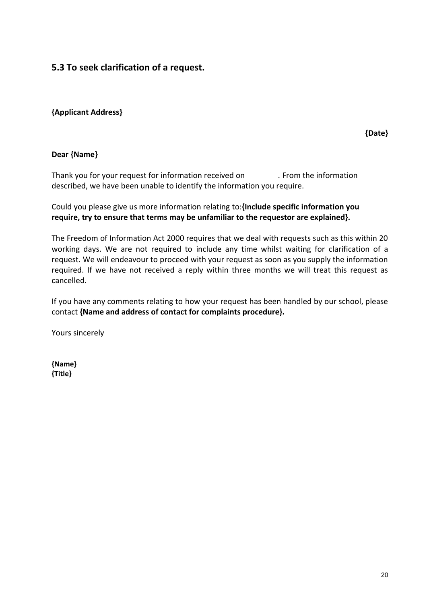# **5.3 To seek clarification of a request.**

# **{Applicant Address}**

**{Date}**

# **Dear {Name}**

Thank you for your request for information received on . From the information described, we have been unable to identify the information you require.

Could you please give us more information relating to:**{Include specific information you require, try to ensure that terms may be unfamiliar to the requestor are explained}.**

The Freedom of Information Act 2000 requires that we deal with requests such as this within 20 working days. We are not required to include any time whilst waiting for clarification of a request. We will endeavour to proceed with your request as soon as you supply the information required. If we have not received a reply within three months we will treat this request as cancelled.

If you have any comments relating to how your request has been handled by our school, please contact **{Name and address of contact for complaints procedure}.**

Yours sincerely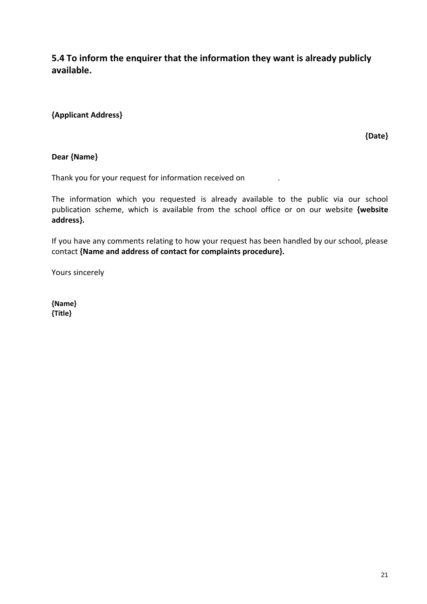**5.4 To inform the enquirer that the information they want is already publicly available.** 

# **{Applicant Address}**

**{Date}**

#### **Dear {Name}**

Thank you for your request for information received on .

The information which you requested is already available to the public via our school publication scheme, which is available from the school office or on our website **{website address}.**

If you have any comments relating to how your request has been handled by our school, please contact **{Name and address of contact for complaints procedure}.**

Yours sincerely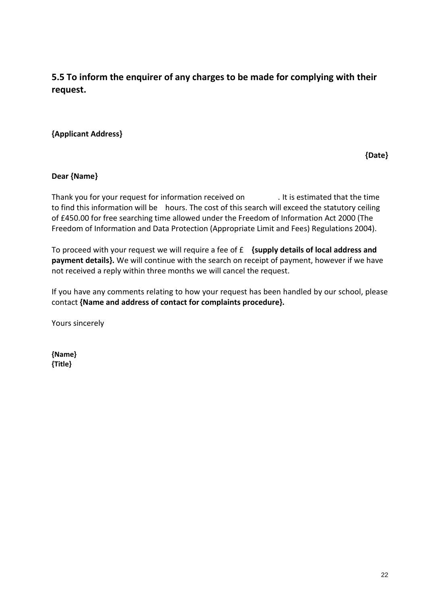**5.5 To inform the enquirer of any charges to be made for complying with their request.** 

# **{Applicant Address}**

**{Date}**

# **Dear {Name}**

Thank you for your request for information received on . It is estimated that the time to find this information will be hours. The cost of this search will exceed the statutory ceiling of £450.00 for free searching time allowed under the Freedom of Information Act 2000 (The Freedom of Information and Data Protection (Appropriate Limit and Fees) Regulations 2004).

To proceed with your request we will require a fee of £ **{supply details of local address and payment details}.** We will continue with the search on receipt of payment, however if we have not received a reply within three months we will cancel the request.

If you have any comments relating to how your request has been handled by our school, please contact **{Name and address of contact for complaints procedure}.**

Yours sincerely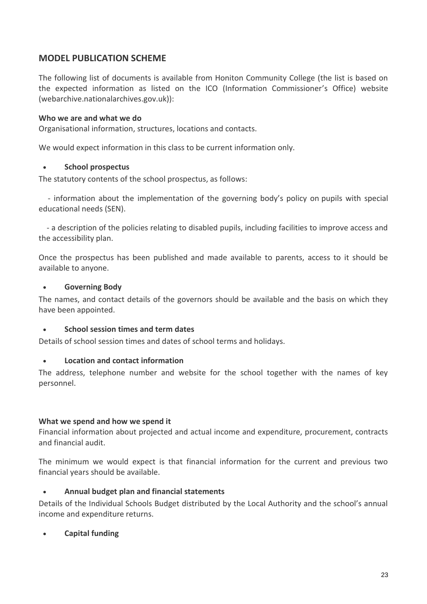# **MODEL PUBLICATION SCHEME**

The following list of documents is available from Honiton Community College (the list is based on the expected information as listed on the ICO (Information Commissioner's Office) website (webarchive.nationalarchives.gov.uk)):

# **Who we are and what we do**

Organisational information, structures, locations and contacts.

We would expect information in this class to be current information only.

# • **School prospectus**

The statutory contents of the school prospectus, as follows:

 - information about the implementation of the governing body's policy on pupils with special educational needs (SEN).

 - a description of the policies relating to disabled pupils, including facilities to improve access and the accessibility plan.

Once the prospectus has been published and made available to parents, access to it should be available to anyone.

# • **Governing Body**

The names, and contact details of the governors should be available and the basis on which they have been appointed.

# • **School session times and term dates**

Details of school session times and dates of school terms and holidays.

# • **Location and contact information**

The address, telephone number and website for the school together with the names of key personnel.

# **What we spend and how we spend it**

Financial information about projected and actual income and expenditure, procurement, contracts and financial audit.

The minimum we would expect is that financial information for the current and previous two financial years should be available.

# • **Annual budget plan and financial statements**

Details of the Individual Schools Budget distributed by the Local Authority and the school's annual income and expenditure returns.

# • **Capital funding**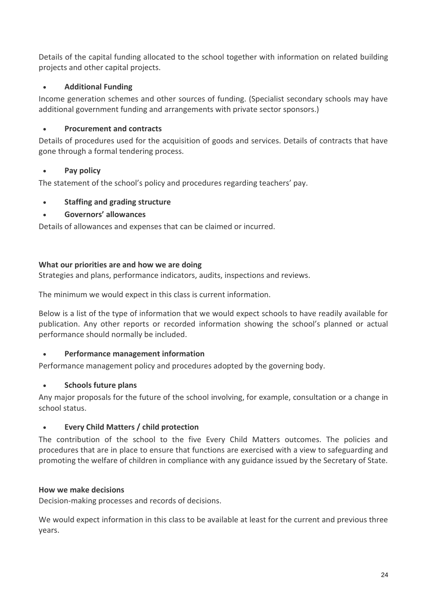Details of the capital funding allocated to the school together with information on related building projects and other capital projects.

# • **Additional Funding**

Income generation schemes and other sources of funding. (Specialist secondary schools may have additional government funding and arrangements with private sector sponsors.)

# • **Procurement and contracts**

Details of procedures used for the acquisition of goods and services. Details of contracts that have gone through a formal tendering process.

# • **Pay policy**

The statement of the school's policy and procedures regarding teachers' pay.

# • **Staffing and grading structure**

# • **Governors' allowances**

Details of allowances and expenses that can be claimed or incurred.

# **What our priorities are and how we are doing**

Strategies and plans, performance indicators, audits, inspections and reviews.

The minimum we would expect in this class is current information.

Below is a list of the type of information that we would expect schools to have readily available for publication. Any other reports or recorded information showing the school's planned or actual performance should normally be included.

# • **Performance management information**

Performance management policy and procedures adopted by the governing body.

# • **Schools future plans**

Any major proposals for the future of the school involving, for example, consultation or a change in school status.

# • **Every Child Matters / child protection**

The contribution of the school to the five Every Child Matters outcomes. The policies and procedures that are in place to ensure that functions are exercised with a view to safeguarding and promoting the welfare of children in compliance with any guidance issued by the Secretary of State.

# **How we make decisions**

Decision-making processes and records of decisions.

We would expect information in this class to be available at least for the current and previous three years.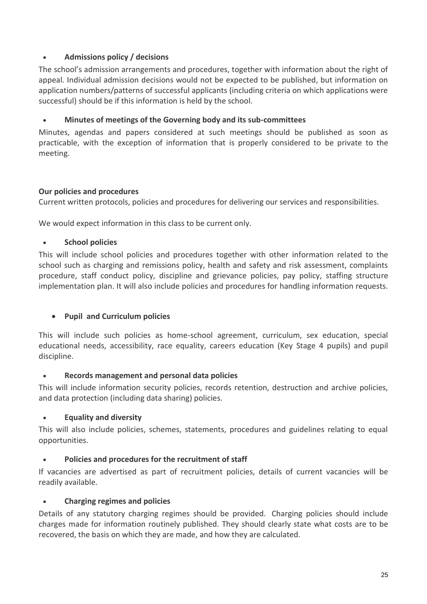# • **Admissions policy / decisions**

The school's admission arrangements and procedures, together with information about the right of appeal. Individual admission decisions would not be expected to be published, but information on application numbers/patterns of successful applicants (including criteria on which applications were successful) should be if this information is held by the school.

# • **Minutes of meetings of the Governing body and its sub-committees**

Minutes, agendas and papers considered at such meetings should be published as soon as practicable, with the exception of information that is properly considered to be private to the meeting.

# **Our policies and procedures**

Current written protocols, policies and procedures for delivering our services and responsibilities.

We would expect information in this class to be current only.

# • **School policies**

This will include school policies and procedures together with other information related to the school such as charging and remissions policy, health and safety and risk assessment, complaints procedure, staff conduct policy, discipline and grievance policies, pay policy, staffing structure implementation plan. It will also include policies and procedures for handling information requests.

# • **Pupil and Curriculum policies**

This will include such policies as home-school agreement, curriculum, sex education, special educational needs, accessibility, race equality, careers education (Key Stage 4 pupils) and pupil discipline.

# • **Records management and personal data policies**

This will include information security policies, records retention, destruction and archive policies, and data protection (including data sharing) policies.

# • **Equality and diversity**

This will also include policies, schemes, statements, procedures and guidelines relating to equal opportunities.

# • **Policies and procedures for the recruitment of staff**

If vacancies are advertised as part of recruitment policies, details of current vacancies will be readily available.

# • **Charging regimes and policies**

Details of any statutory charging regimes should be provided. Charging policies should include charges made for information routinely published. They should clearly state what costs are to be recovered, the basis on which they are made, and how they are calculated.